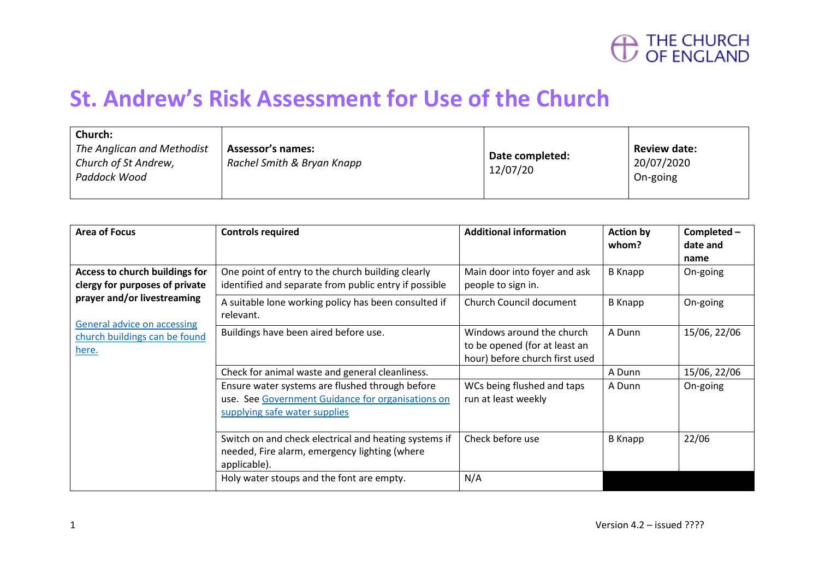

#### **St. Andrew's Risk Assessment for Use of the Church**

| Church:<br>The Anglican and Methodist<br>Church of St Andrew,<br>Paddock Wood | <b>Assessor's names:</b><br>Rachel Smith & Bryan Knapp | Date completed:<br>12/07/20 | <b>Review date:</b><br>20/07/2020<br>On-going |
|-------------------------------------------------------------------------------|--------------------------------------------------------|-----------------------------|-----------------------------------------------|
|-------------------------------------------------------------------------------|--------------------------------------------------------|-----------------------------|-----------------------------------------------|

| <b>Area of Focus</b>                                                                                                                                                            | <b>Controls required</b>                                                                                                                 | <b>Additional information</b>                                                                | <b>Action by</b><br>whom? | Completed-<br>date and<br>name |
|---------------------------------------------------------------------------------------------------------------------------------------------------------------------------------|------------------------------------------------------------------------------------------------------------------------------------------|----------------------------------------------------------------------------------------------|---------------------------|--------------------------------|
| Access to church buildings for<br>clergy for purposes of private<br>prayer and/or livestreaming<br><b>General advice on accessing</b><br>church buildings can be found<br>here. | One point of entry to the church building clearly<br>identified and separate from public entry if possible                               | Main door into foyer and ask<br>people to sign in.                                           | <b>B</b> Knapp            | On-going                       |
|                                                                                                                                                                                 | A suitable lone working policy has been consulted if<br>relevant.                                                                        | Church Council document                                                                      | <b>B</b> Knapp            | On-going                       |
|                                                                                                                                                                                 | Buildings have been aired before use.                                                                                                    | Windows around the church<br>to be opened (for at least an<br>hour) before church first used | A Dunn                    | 15/06, 22/06                   |
|                                                                                                                                                                                 | Check for animal waste and general cleanliness.                                                                                          |                                                                                              | A Dunn                    | 15/06, 22/06                   |
|                                                                                                                                                                                 | Ensure water systems are flushed through before<br>See Government Guidance for organisations on<br>use.<br>supplying safe water supplies | WCs being flushed and taps<br>run at least weekly                                            | A Dunn                    | On-going                       |
|                                                                                                                                                                                 | Switch on and check electrical and heating systems if<br>needed, Fire alarm, emergency lighting (where<br>applicable).                   | Check before use                                                                             | <b>B</b> Knapp            | 22/06                          |
|                                                                                                                                                                                 | Holy water stoups and the font are empty.                                                                                                | N/A                                                                                          |                           |                                |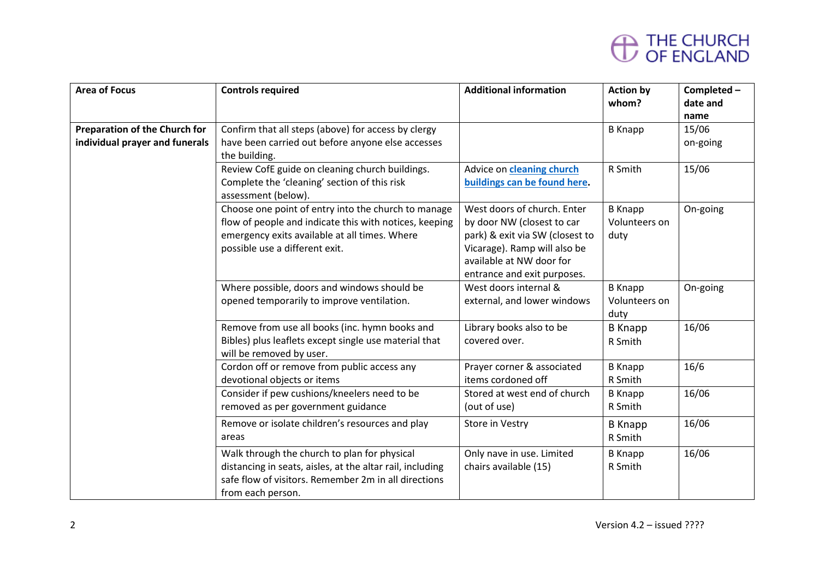| <b>Area of Focus</b>                 | <b>Controls required</b>                                                                                          | <b>Additional information</b>                            | <b>Action by</b>          | Completed-    |
|--------------------------------------|-------------------------------------------------------------------------------------------------------------------|----------------------------------------------------------|---------------------------|---------------|
|                                      |                                                                                                                   |                                                          | whom?                     | date and      |
| <b>Preparation of the Church for</b> | Confirm that all steps (above) for access by clergy                                                               |                                                          | <b>B</b> Knapp            | name<br>15/06 |
| individual prayer and funerals       | have been carried out before anyone else accesses                                                                 |                                                          |                           | on-going      |
|                                      | the building.                                                                                                     |                                                          |                           |               |
|                                      | Review CofE guide on cleaning church buildings.                                                                   | Advice on cleaning church                                | R Smith                   | 15/06         |
|                                      | Complete the 'cleaning' section of this risk                                                                      | buildings can be found here.                             |                           |               |
|                                      | assessment (below).                                                                                               |                                                          |                           |               |
|                                      | Choose one point of entry into the church to manage                                                               | West doors of church. Enter                              | <b>B</b> Knapp            | On-going      |
|                                      | flow of people and indicate this with notices, keeping                                                            | by door NW (closest to car                               | Volunteers on             |               |
|                                      | emergency exits available at all times. Where<br>possible use a different exit.                                   | park) & exit via SW (closest to                          | duty                      |               |
|                                      |                                                                                                                   | Vicarage). Ramp will also be<br>available at NW door for |                           |               |
|                                      |                                                                                                                   | entrance and exit purposes.                              |                           |               |
|                                      | Where possible, doors and windows should be                                                                       | West doors internal &                                    | <b>B</b> Knapp            | On-going      |
|                                      | opened temporarily to improve ventilation.                                                                        | external, and lower windows                              | Volunteers on             |               |
|                                      |                                                                                                                   |                                                          | duty                      |               |
|                                      | Remove from use all books (inc. hymn books and                                                                    | Library books also to be                                 | <b>B</b> Knapp            | 16/06         |
|                                      | Bibles) plus leaflets except single use material that                                                             | covered over.                                            | R Smith                   |               |
|                                      | will be removed by user.                                                                                          |                                                          |                           |               |
|                                      | Cordon off or remove from public access any                                                                       | Prayer corner & associated<br>items cordoned off         | <b>B</b> Knapp            | 16/6          |
|                                      | devotional objects or items<br>Consider if pew cushions/kneelers need to be                                       | Stored at west end of church                             | R Smith<br><b>B</b> Knapp | 16/06         |
|                                      | removed as per government guidance                                                                                | (out of use)                                             | R Smith                   |               |
|                                      |                                                                                                                   |                                                          |                           |               |
|                                      | Remove or isolate children's resources and play                                                                   | Store in Vestry                                          | <b>B</b> Knapp            | 16/06         |
|                                      | areas                                                                                                             |                                                          | R Smith                   |               |
|                                      | Walk through the church to plan for physical                                                                      | Only nave in use. Limited                                | <b>B</b> Knapp            | 16/06         |
|                                      | distancing in seats, aisles, at the altar rail, including<br>safe flow of visitors. Remember 2m in all directions | chairs available (15)                                    | R Smith                   |               |
|                                      | from each person.                                                                                                 |                                                          |                           |               |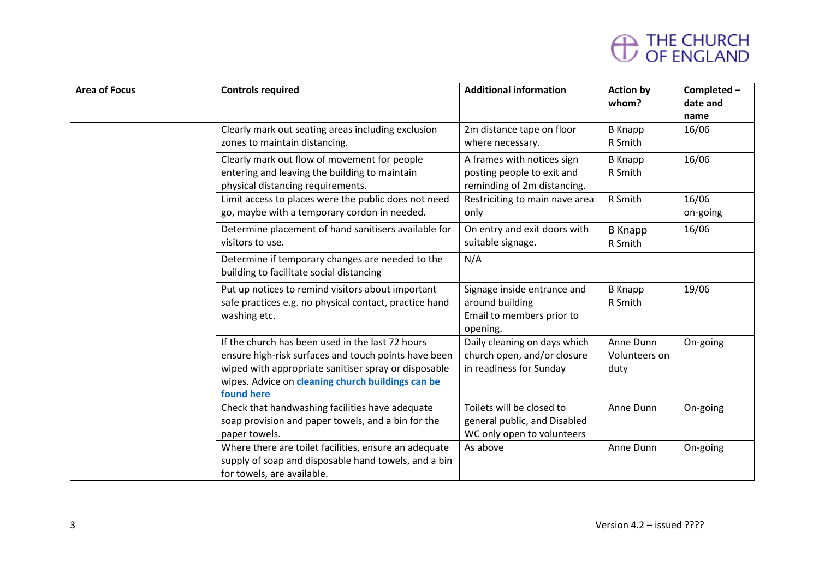| <b>Area of Focus</b> | <b>Controls required</b>                                                                                                                                                                                                            | <b>Additional information</b>                                                           | <b>Action by</b><br>whom?          | Completed-<br>date and<br>name |
|----------------------|-------------------------------------------------------------------------------------------------------------------------------------------------------------------------------------------------------------------------------------|-----------------------------------------------------------------------------------------|------------------------------------|--------------------------------|
|                      | Clearly mark out seating areas including exclusion<br>zones to maintain distancing.                                                                                                                                                 | 2m distance tape on floor<br>where necessary.                                           | <b>B</b> Knapp<br>R Smith          | 16/06                          |
|                      | Clearly mark out flow of movement for people<br>entering and leaving the building to maintain<br>physical distancing requirements.                                                                                                  | A frames with notices sign<br>posting people to exit and<br>reminding of 2m distancing. | <b>B</b> Knapp<br>R Smith          | 16/06                          |
|                      | Limit access to places were the public does not need<br>go, maybe with a temporary cordon in needed.                                                                                                                                | Restriciting to main nave area<br>only                                                  | R Smith                            | 16/06<br>on-going              |
|                      | Determine placement of hand sanitisers available for<br>visitors to use.                                                                                                                                                            | On entry and exit doors with<br>suitable signage.                                       | <b>B</b> Knapp<br>R Smith          | 16/06                          |
|                      | Determine if temporary changes are needed to the<br>building to facilitate social distancing                                                                                                                                        | N/A                                                                                     |                                    |                                |
|                      | Put up notices to remind visitors about important<br>safe practices e.g. no physical contact, practice hand<br>washing etc.                                                                                                         | Signage inside entrance and<br>around building<br>Email to members prior to<br>opening. | <b>B</b> Knapp<br>R Smith          | 19/06                          |
|                      | If the church has been used in the last 72 hours<br>ensure high-risk surfaces and touch points have been<br>wiped with appropriate sanitiser spray or disposable<br>wipes. Advice on cleaning church buildings can be<br>found here | Daily cleaning on days which<br>church open, and/or closure<br>in readiness for Sunday  | Anne Dunn<br>Volunteers on<br>duty | On-going                       |
|                      | Check that handwashing facilities have adequate<br>soap provision and paper towels, and a bin for the<br>paper towels.                                                                                                              | Toilets will be closed to<br>general public, and Disabled<br>WC only open to volunteers | Anne Dunn                          | On-going                       |
|                      | Where there are toilet facilities, ensure an adequate<br>supply of soap and disposable hand towels, and a bin<br>for towels, are available.                                                                                         | As above                                                                                | Anne Dunn                          | On-going                       |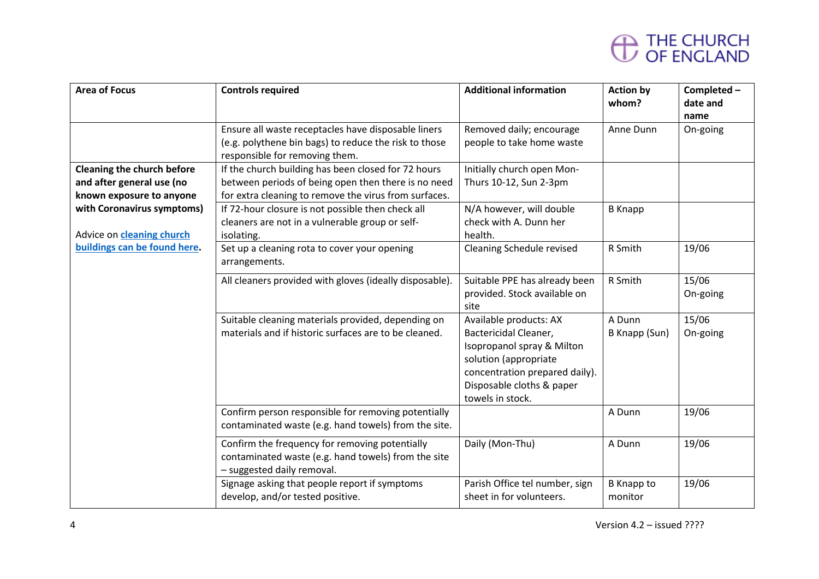| <b>Area of Focus</b>                                                                       | <b>Controls required</b>                                                                                                                                            | <b>Additional information</b>                                                                                                                                                             | <b>Action by</b><br>whom?    | Completed-<br>date and<br>name |
|--------------------------------------------------------------------------------------------|---------------------------------------------------------------------------------------------------------------------------------------------------------------------|-------------------------------------------------------------------------------------------------------------------------------------------------------------------------------------------|------------------------------|--------------------------------|
|                                                                                            | Ensure all waste receptacles have disposable liners<br>(e.g. polythene bin bags) to reduce the risk to those<br>responsible for removing them.                      | Removed daily; encourage<br>people to take home waste                                                                                                                                     | Anne Dunn                    | On-going                       |
| <b>Cleaning the church before</b><br>and after general use (no<br>known exposure to anyone | If the church building has been closed for 72 hours<br>between periods of being open then there is no need<br>for extra cleaning to remove the virus from surfaces. | Initially church open Mon-<br>Thurs 10-12, Sun 2-3pm                                                                                                                                      |                              |                                |
| with Coronavirus symptoms)<br>Advice on <b>cleaning church</b>                             | If 72-hour closure is not possible then check all<br>cleaners are not in a vulnerable group or self-<br>isolating.                                                  | N/A however, will double<br>check with A. Dunn her<br>health.                                                                                                                             | <b>B</b> Knapp               |                                |
| buildings can be found here.                                                               | Set up a cleaning rota to cover your opening<br>arrangements.                                                                                                       | Cleaning Schedule revised                                                                                                                                                                 | R Smith                      | 19/06                          |
|                                                                                            | All cleaners provided with gloves (ideally disposable).                                                                                                             | Suitable PPE has already been<br>provided. Stock available on<br>site                                                                                                                     | R Smith                      | 15/06<br>On-going              |
|                                                                                            | Suitable cleaning materials provided, depending on<br>materials and if historic surfaces are to be cleaned.                                                         | Available products: AX<br>Bactericidal Cleaner,<br>Isopropanol spray & Milton<br>solution (appropriate<br>concentration prepared daily).<br>Disposable cloths & paper<br>towels in stock. | A Dunn<br>B Knapp (Sun)      | 15/06<br>On-going              |
|                                                                                            | Confirm person responsible for removing potentially<br>contaminated waste (e.g. hand towels) from the site.                                                         |                                                                                                                                                                                           | A Dunn                       | 19/06                          |
|                                                                                            | Confirm the frequency for removing potentially<br>contaminated waste (e.g. hand towels) from the site<br>- suggested daily removal.                                 | Daily (Mon-Thu)                                                                                                                                                                           | A Dunn                       | 19/06                          |
|                                                                                            | Signage asking that people report if symptoms<br>develop, and/or tested positive.                                                                                   | Parish Office tel number, sign<br>sheet in for volunteers.                                                                                                                                | <b>B</b> Knapp to<br>monitor | 19/06                          |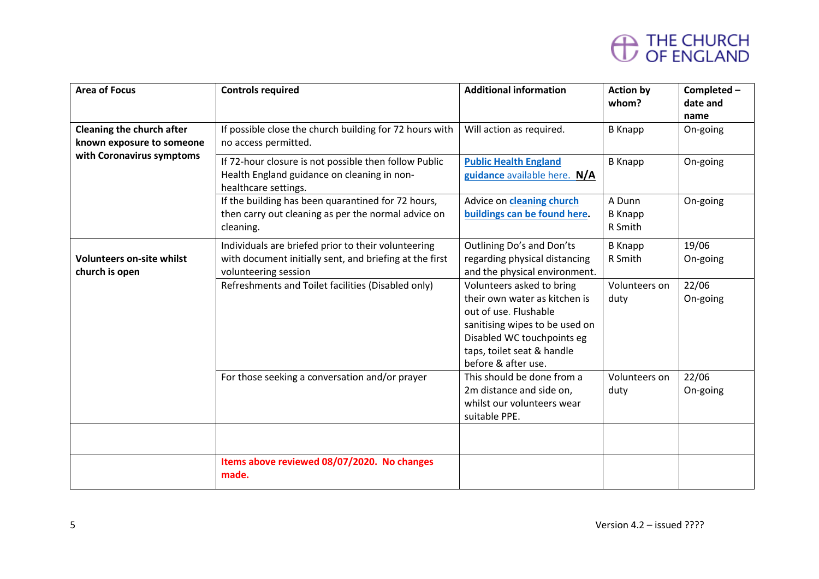| <b>Area of Focus</b>                                          | <b>Controls required</b>                                                                                                               | <b>Additional information</b>                                                                                                                                                                            | <b>Action by</b><br>whom?           | Completed-<br>date and<br>name |
|---------------------------------------------------------------|----------------------------------------------------------------------------------------------------------------------------------------|----------------------------------------------------------------------------------------------------------------------------------------------------------------------------------------------------------|-------------------------------------|--------------------------------|
| <b>Cleaning the church after</b><br>known exposure to someone | If possible close the church building for 72 hours with<br>no access permitted.                                                        | Will action as required.                                                                                                                                                                                 | <b>B</b> Knapp                      | On-going                       |
| with Coronavirus symptoms                                     | If 72-hour closure is not possible then follow Public<br>Health England guidance on cleaning in non-<br>healthcare settings.           | <b>Public Health England</b><br>guidance available here. N/A                                                                                                                                             | <b>B</b> Knapp                      | On-going                       |
|                                                               | If the building has been quarantined for 72 hours,<br>then carry out cleaning as per the normal advice on<br>cleaning.                 | Advice on cleaning church<br>buildings can be found here.                                                                                                                                                | A Dunn<br><b>B</b> Knapp<br>R Smith | On-going                       |
| <b>Volunteers on-site whilst</b><br>church is open            | Individuals are briefed prior to their volunteering<br>with document initially sent, and briefing at the first<br>volunteering session | Outlining Do's and Don'ts<br>regarding physical distancing<br>and the physical environment.                                                                                                              | <b>B</b> Knapp<br>R Smith           | 19/06<br>On-going              |
|                                                               | Refreshments and Toilet facilities (Disabled only)                                                                                     | Volunteers asked to bring<br>their own water as kitchen is<br>out of use. Flushable<br>sanitising wipes to be used on<br>Disabled WC touchpoints eg<br>taps, toilet seat & handle<br>before & after use. | Volunteers on<br>duty               | 22/06<br>On-going              |
|                                                               | For those seeking a conversation and/or prayer                                                                                         | This should be done from a<br>2m distance and side on,<br>whilst our volunteers wear<br>suitable PPE.                                                                                                    | Volunteers on<br>duty               | 22/06<br>On-going              |
|                                                               |                                                                                                                                        |                                                                                                                                                                                                          |                                     |                                |
|                                                               | Items above reviewed 08/07/2020. No changes<br>made.                                                                                   |                                                                                                                                                                                                          |                                     |                                |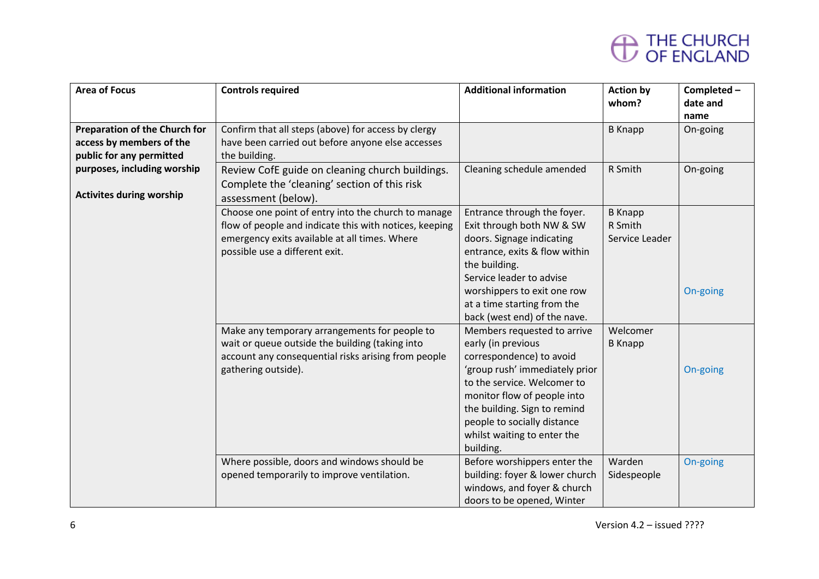| <b>Area of Focus</b>                 | <b>Controls required</b>                               | <b>Additional information</b>  | <b>Action by</b> | Completed- |
|--------------------------------------|--------------------------------------------------------|--------------------------------|------------------|------------|
|                                      |                                                        |                                | whom?            | date and   |
|                                      |                                                        |                                |                  | name       |
| <b>Preparation of the Church for</b> | Confirm that all steps (above) for access by clergy    |                                | <b>B</b> Knapp   | On-going   |
| access by members of the             | have been carried out before anyone else accesses      |                                |                  |            |
| public for any permitted             | the building.                                          |                                |                  |            |
| purposes, including worship          | Review CofE guide on cleaning church buildings.        | Cleaning schedule amended      | R Smith          | On-going   |
|                                      | Complete the 'cleaning' section of this risk           |                                |                  |            |
| <b>Activites during worship</b>      | assessment (below).                                    |                                |                  |            |
|                                      | Choose one point of entry into the church to manage    | Entrance through the foyer.    | <b>B</b> Knapp   |            |
|                                      | flow of people and indicate this with notices, keeping | Exit through both NW & SW      | R Smith          |            |
|                                      | emergency exits available at all times. Where          | doors. Signage indicating      | Service Leader   |            |
|                                      | possible use a different exit.                         | entrance, exits & flow within  |                  |            |
|                                      |                                                        | the building.                  |                  |            |
|                                      |                                                        | Service leader to advise       |                  |            |
|                                      |                                                        | worshippers to exit one row    |                  | On-going   |
|                                      |                                                        | at a time starting from the    |                  |            |
|                                      |                                                        | back (west end) of the nave.   |                  |            |
|                                      | Make any temporary arrangements for people to          | Members requested to arrive    | Welcomer         |            |
|                                      | wait or queue outside the building (taking into        | early (in previous             | <b>B</b> Knapp   |            |
|                                      | account any consequential risks arising from people    | correspondence) to avoid       |                  |            |
|                                      | gathering outside).                                    | 'group rush' immediately prior |                  | On-going   |
|                                      |                                                        | to the service. Welcomer to    |                  |            |
|                                      |                                                        | monitor flow of people into    |                  |            |
|                                      |                                                        | the building. Sign to remind   |                  |            |
|                                      |                                                        | people to socially distance    |                  |            |
|                                      |                                                        | whilst waiting to enter the    |                  |            |
|                                      |                                                        | building.                      |                  |            |
|                                      | Where possible, doors and windows should be            | Before worshippers enter the   | Warden           | On-going   |
|                                      | opened temporarily to improve ventilation.             | building: foyer & lower church | Sidespeople      |            |
|                                      |                                                        | windows, and foyer & church    |                  |            |
|                                      |                                                        | doors to be opened, Winter     |                  |            |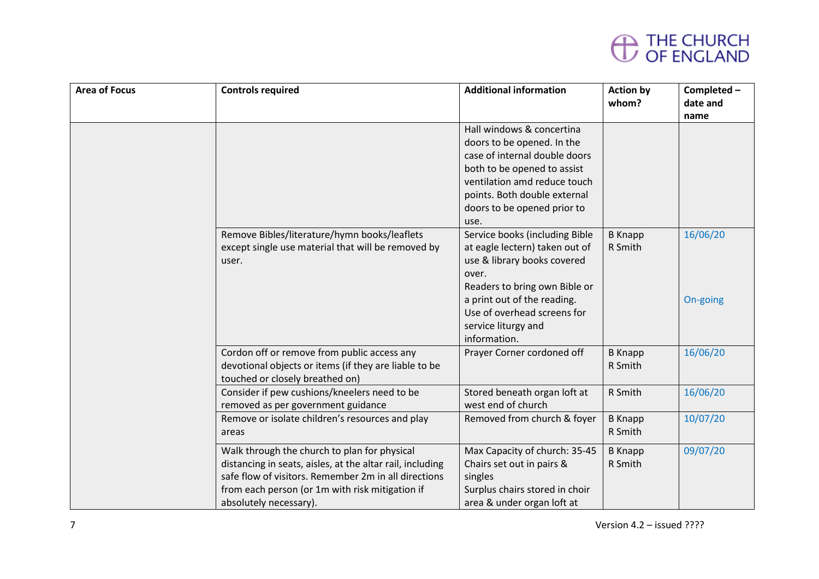

| <b>Area of Focus</b> | <b>Controls required</b>                                                                                                                                                                                                                       | <b>Additional information</b>                                                                                                                                                                                                                  | <b>Action by</b><br>whom? | Completed-<br>date and<br>name |
|----------------------|------------------------------------------------------------------------------------------------------------------------------------------------------------------------------------------------------------------------------------------------|------------------------------------------------------------------------------------------------------------------------------------------------------------------------------------------------------------------------------------------------|---------------------------|--------------------------------|
|                      |                                                                                                                                                                                                                                                | Hall windows & concertina<br>doors to be opened. In the<br>case of internal double doors<br>both to be opened to assist<br>ventilation amd reduce touch<br>points. Both double external<br>doors to be opened prior to<br>use.                 |                           |                                |
|                      | Remove Bibles/literature/hymn books/leaflets<br>except single use material that will be removed by<br>user.                                                                                                                                    | Service books (including Bible<br>at eagle lectern) taken out of<br>use & library books covered<br>over.<br>Readers to bring own Bible or<br>a print out of the reading.<br>Use of overhead screens for<br>service liturgy and<br>information. | <b>B</b> Knapp<br>R Smith | 16/06/20<br>On-going           |
|                      | Cordon off or remove from public access any<br>devotional objects or items (if they are liable to be<br>touched or closely breathed on)                                                                                                        | Prayer Corner cordoned off                                                                                                                                                                                                                     | <b>B</b> Knapp<br>R Smith | 16/06/20                       |
|                      | Consider if pew cushions/kneelers need to be<br>removed as per government guidance                                                                                                                                                             | Stored beneath organ loft at<br>west end of church                                                                                                                                                                                             | R Smith                   | 16/06/20                       |
|                      | Remove or isolate children's resources and play<br>areas                                                                                                                                                                                       | Removed from church & foyer                                                                                                                                                                                                                    | <b>B</b> Knapp<br>R Smith | 10/07/20                       |
|                      | Walk through the church to plan for physical<br>distancing in seats, aisles, at the altar rail, including<br>safe flow of visitors. Remember 2m in all directions<br>from each person (or 1m with risk mitigation if<br>absolutely necessary). | Max Capacity of church: 35-45<br>Chairs set out in pairs &<br>singles<br>Surplus chairs stored in choir<br>area & under organ loft at                                                                                                          | <b>B</b> Knapp<br>R Smith | 09/07/20                       |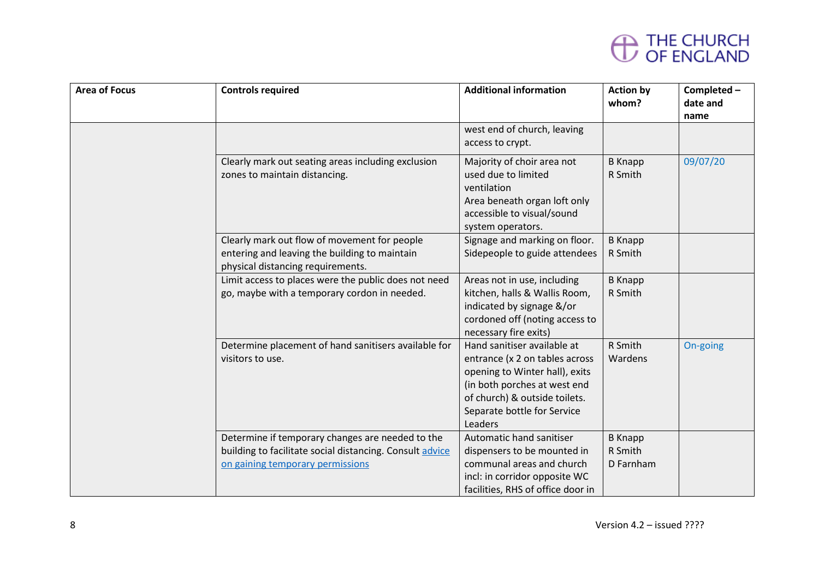

| <b>Area of Focus</b> | <b>Controls required</b>                                                                                                                         | <b>Additional information</b>                                                                                                                                                                              | <b>Action by</b><br>whom?              | Completed-<br>date and<br>name |
|----------------------|--------------------------------------------------------------------------------------------------------------------------------------------------|------------------------------------------------------------------------------------------------------------------------------------------------------------------------------------------------------------|----------------------------------------|--------------------------------|
|                      |                                                                                                                                                  | west end of church, leaving<br>access to crypt.                                                                                                                                                            |                                        |                                |
|                      | Clearly mark out seating areas including exclusion<br>zones to maintain distancing.                                                              | Majority of choir area not<br>used due to limited<br>ventilation<br>Area beneath organ loft only<br>accessible to visual/sound<br>system operators.                                                        | <b>B</b> Knapp<br>R Smith              | 09/07/20                       |
|                      | Clearly mark out flow of movement for people<br>entering and leaving the building to maintain<br>physical distancing requirements.               | Signage and marking on floor.<br>Sidepeople to guide attendees                                                                                                                                             | <b>B</b> Knapp<br>R Smith              |                                |
|                      | Limit access to places were the public does not need<br>go, maybe with a temporary cordon in needed.                                             | Areas not in use, including<br>kitchen, halls & Wallis Room,<br>indicated by signage &/or<br>cordoned off (noting access to<br>necessary fire exits)                                                       | <b>B</b> Knapp<br>R Smith              |                                |
|                      | Determine placement of hand sanitisers available for<br>visitors to use.                                                                         | Hand sanitiser available at<br>entrance (x 2 on tables across<br>opening to Winter hall), exits<br>(in both porches at west end<br>of church) & outside toilets.<br>Separate bottle for Service<br>Leaders | R Smith<br>Wardens                     | On-going                       |
|                      | Determine if temporary changes are needed to the<br>building to facilitate social distancing. Consult advice<br>on gaining temporary permissions | Automatic hand sanitiser<br>dispensers to be mounted in<br>communal areas and church<br>incl: in corridor opposite WC<br>facilities, RHS of office door in                                                 | <b>B</b> Knapp<br>R Smith<br>D Farnham |                                |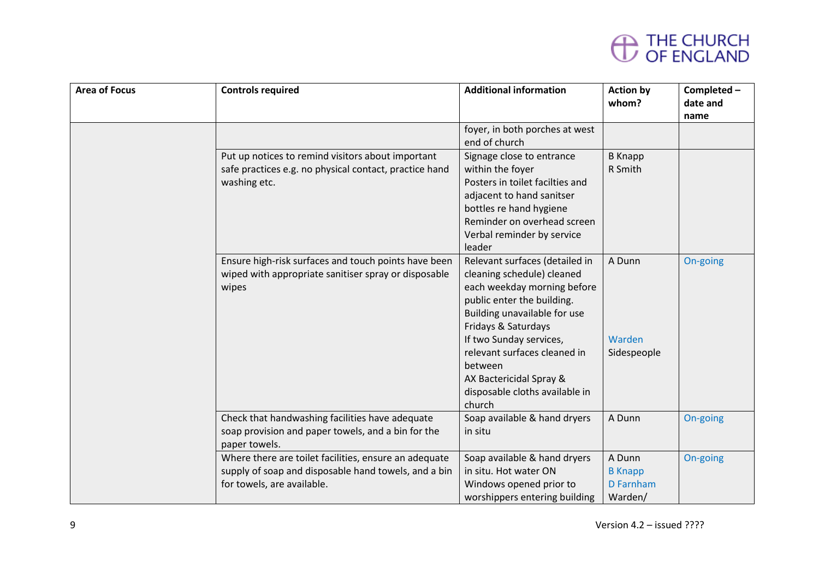

| <b>Area of Focus</b> | <b>Controls required</b>                                                                                                                    | <b>Additional information</b>                                                                                                                                                                                                                                                                                                 | <b>Action by</b><br>whom?                        | Completed-<br>date and<br>name |
|----------------------|---------------------------------------------------------------------------------------------------------------------------------------------|-------------------------------------------------------------------------------------------------------------------------------------------------------------------------------------------------------------------------------------------------------------------------------------------------------------------------------|--------------------------------------------------|--------------------------------|
|                      |                                                                                                                                             | foyer, in both porches at west<br>end of church                                                                                                                                                                                                                                                                               |                                                  |                                |
|                      | Put up notices to remind visitors about important<br>safe practices e.g. no physical contact, practice hand<br>washing etc.                 | Signage close to entrance<br>within the foyer<br>Posters in toilet facilties and<br>adjacent to hand sanitser<br>bottles re hand hygiene<br>Reminder on overhead screen<br>Verbal reminder by service<br>leader                                                                                                               | <b>B</b> Knapp<br>R Smith                        |                                |
|                      | Ensure high-risk surfaces and touch points have been<br>wiped with appropriate sanitiser spray or disposable<br>wipes                       | Relevant surfaces (detailed in<br>cleaning schedule) cleaned<br>each weekday morning before<br>public enter the building.<br>Building unavailable for use<br>Fridays & Saturdays<br>If two Sunday services,<br>relevant surfaces cleaned in<br>between<br>AX Bactericidal Spray &<br>disposable cloths available in<br>church | A Dunn<br>Warden<br>Sidespeople                  | On-going                       |
|                      | Check that handwashing facilities have adequate<br>soap provision and paper towels, and a bin for the<br>paper towels.                      | Soap available & hand dryers<br>in situ                                                                                                                                                                                                                                                                                       | A Dunn                                           | On-going                       |
|                      | Where there are toilet facilities, ensure an adequate<br>supply of soap and disposable hand towels, and a bin<br>for towels, are available. | Soap available & hand dryers<br>in situ. Hot water ON<br>Windows opened prior to<br>worshippers entering building                                                                                                                                                                                                             | A Dunn<br><b>B</b> Knapp<br>D Farnham<br>Warden/ | On-going                       |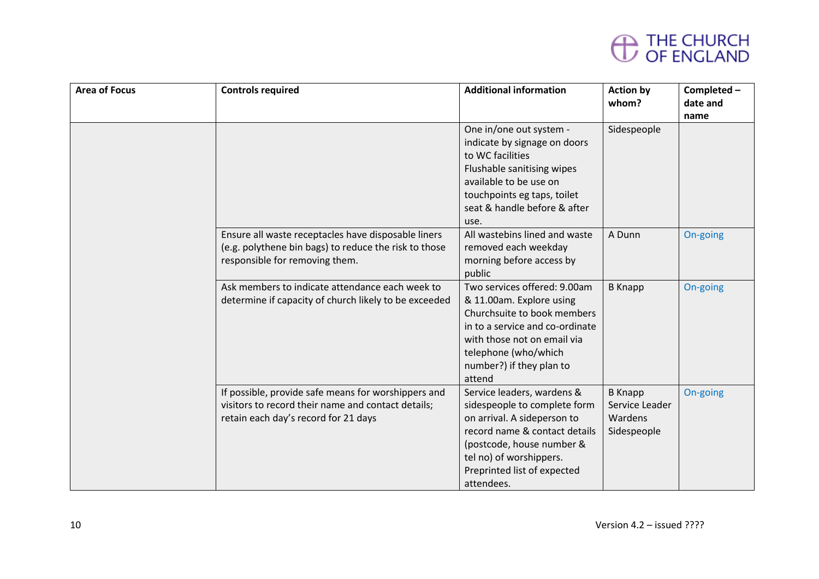

| <b>Area of Focus</b> | <b>Controls required</b>                                                                                                                          | <b>Additional information</b>                                                                                                                                                                                                   | <b>Action by</b><br>whom?                                  | Completed-<br>date and<br>name |
|----------------------|---------------------------------------------------------------------------------------------------------------------------------------------------|---------------------------------------------------------------------------------------------------------------------------------------------------------------------------------------------------------------------------------|------------------------------------------------------------|--------------------------------|
|                      |                                                                                                                                                   | One in/one out system -<br>indicate by signage on doors<br>to WC facilities<br>Flushable sanitising wipes<br>available to be use on<br>touchpoints eg taps, toilet<br>seat & handle before & after<br>use.                      | Sidespeople                                                |                                |
|                      | Ensure all waste receptacles have disposable liners<br>(e.g. polythene bin bags) to reduce the risk to those<br>responsible for removing them.    | All wastebins lined and waste<br>removed each weekday<br>morning before access by<br>public                                                                                                                                     | A Dunn                                                     | On-going                       |
|                      | Ask members to indicate attendance each week to<br>determine if capacity of church likely to be exceeded                                          | Two services offered: 9.00am<br>& 11.00am. Explore using<br>Churchsuite to book members<br>in to a service and co-ordinate<br>with those not on email via<br>telephone (who/which<br>number?) if they plan to<br>attend         | <b>B</b> Knapp                                             | On-going                       |
|                      | If possible, provide safe means for worshippers and<br>visitors to record their name and contact details;<br>retain each day's record for 21 days | Service leaders, wardens &<br>sidespeople to complete form<br>on arrival. A sideperson to<br>record name & contact details<br>(postcode, house number &<br>tel no) of worshippers.<br>Preprinted list of expected<br>attendees. | <b>B</b> Knapp<br>Service Leader<br>Wardens<br>Sidespeople | On-going                       |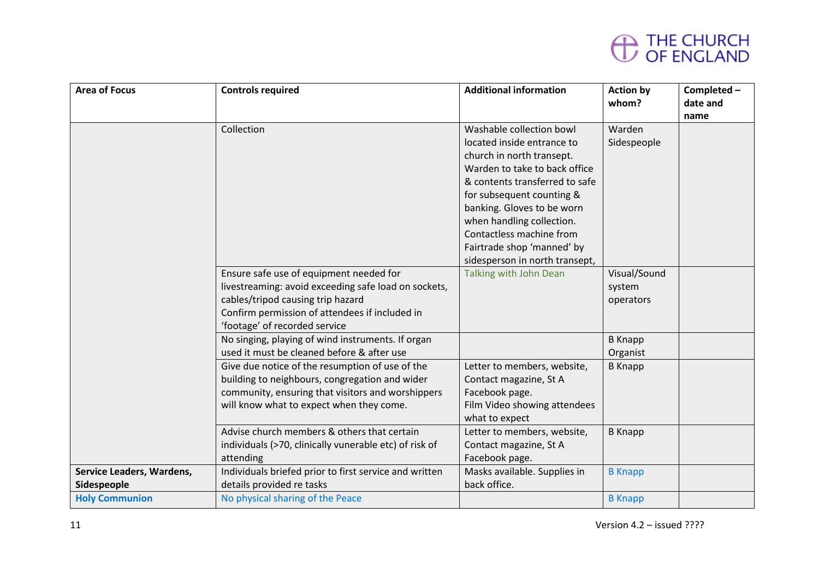

| <b>Area of Focus</b>      | <b>Controls required</b>                               | <b>Additional information</b>  | <b>Action by</b> | Completed- |
|---------------------------|--------------------------------------------------------|--------------------------------|------------------|------------|
|                           |                                                        |                                | whom?            | date and   |
|                           |                                                        |                                |                  | name       |
|                           | Collection                                             | Washable collection bowl       | Warden           |            |
|                           |                                                        | located inside entrance to     | Sidespeople      |            |
|                           |                                                        | church in north transept.      |                  |            |
|                           |                                                        | Warden to take to back office  |                  |            |
|                           |                                                        | & contents transferred to safe |                  |            |
|                           |                                                        | for subsequent counting &      |                  |            |
|                           |                                                        | banking. Gloves to be worn     |                  |            |
|                           |                                                        | when handling collection.      |                  |            |
|                           |                                                        | Contactless machine from       |                  |            |
|                           |                                                        | Fairtrade shop 'manned' by     |                  |            |
|                           |                                                        | sidesperson in north transept, |                  |            |
|                           | Ensure safe use of equipment needed for                | Talking with John Dean         | Visual/Sound     |            |
|                           | livestreaming: avoid exceeding safe load on sockets,   |                                | system           |            |
|                           | cables/tripod causing trip hazard                      |                                | operators        |            |
|                           | Confirm permission of attendees if included in         |                                |                  |            |
|                           | 'footage' of recorded service                          |                                |                  |            |
|                           | No singing, playing of wind instruments. If organ      |                                | <b>B</b> Knapp   |            |
|                           | used it must be cleaned before & after use             |                                | Organist         |            |
|                           | Give due notice of the resumption of use of the        | Letter to members, website,    | <b>B</b> Knapp   |            |
|                           | building to neighbours, congregation and wider         | Contact magazine, St A         |                  |            |
|                           | community, ensuring that visitors and worshippers      | Facebook page.                 |                  |            |
|                           | will know what to expect when they come.               | Film Video showing attendees   |                  |            |
|                           |                                                        | what to expect                 |                  |            |
|                           | Advise church members & others that certain            | Letter to members, website,    | <b>B</b> Knapp   |            |
|                           | individuals (>70, clinically vunerable etc) of risk of | Contact magazine, St A         |                  |            |
|                           | attending                                              | Facebook page.                 |                  |            |
| Service Leaders, Wardens, | Individuals briefed prior to first service and written | Masks available. Supplies in   | <b>B</b> Knapp   |            |
| Sidespeople               | details provided re tasks                              | back office.                   |                  |            |
| <b>Holy Communion</b>     | No physical sharing of the Peace                       |                                | <b>B</b> Knapp   |            |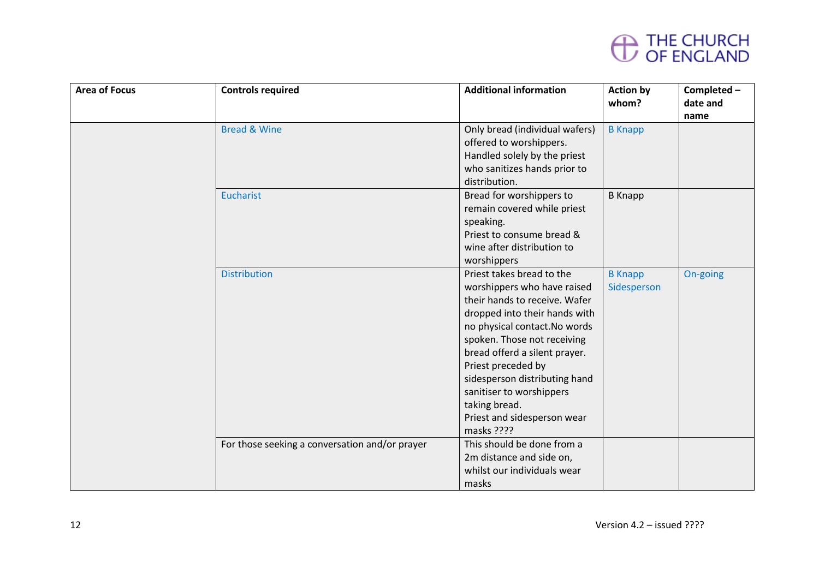

| <b>Area of Focus</b> | <b>Controls required</b>                                              | <b>Additional information</b>                                                                                                                                                                                                                                                                                                                                                                                                                                                                                               | <b>Action by</b><br>whom?     | Completed-<br>date and |
|----------------------|-----------------------------------------------------------------------|-----------------------------------------------------------------------------------------------------------------------------------------------------------------------------------------------------------------------------------------------------------------------------------------------------------------------------------------------------------------------------------------------------------------------------------------------------------------------------------------------------------------------------|-------------------------------|------------------------|
|                      |                                                                       |                                                                                                                                                                                                                                                                                                                                                                                                                                                                                                                             |                               | name                   |
|                      | <b>Bread &amp; Wine</b>                                               | Only bread (individual wafers)                                                                                                                                                                                                                                                                                                                                                                                                                                                                                              | <b>B</b> Knapp                |                        |
|                      |                                                                       | offered to worshippers.                                                                                                                                                                                                                                                                                                                                                                                                                                                                                                     |                               |                        |
|                      |                                                                       | Handled solely by the priest                                                                                                                                                                                                                                                                                                                                                                                                                                                                                                |                               |                        |
|                      |                                                                       | who sanitizes hands prior to                                                                                                                                                                                                                                                                                                                                                                                                                                                                                                |                               |                        |
|                      |                                                                       | distribution.                                                                                                                                                                                                                                                                                                                                                                                                                                                                                                               |                               |                        |
|                      | <b>Eucharist</b>                                                      | Bread for worshippers to                                                                                                                                                                                                                                                                                                                                                                                                                                                                                                    | <b>B</b> Knapp                |                        |
|                      |                                                                       | remain covered while priest                                                                                                                                                                                                                                                                                                                                                                                                                                                                                                 |                               |                        |
|                      |                                                                       | speaking.                                                                                                                                                                                                                                                                                                                                                                                                                                                                                                                   |                               |                        |
|                      |                                                                       | Priest to consume bread &                                                                                                                                                                                                                                                                                                                                                                                                                                                                                                   |                               |                        |
|                      |                                                                       |                                                                                                                                                                                                                                                                                                                                                                                                                                                                                                                             |                               |                        |
|                      |                                                                       |                                                                                                                                                                                                                                                                                                                                                                                                                                                                                                                             |                               |                        |
|                      |                                                                       |                                                                                                                                                                                                                                                                                                                                                                                                                                                                                                                             |                               |                        |
|                      |                                                                       |                                                                                                                                                                                                                                                                                                                                                                                                                                                                                                                             |                               |                        |
|                      |                                                                       |                                                                                                                                                                                                                                                                                                                                                                                                                                                                                                                             |                               |                        |
|                      |                                                                       |                                                                                                                                                                                                                                                                                                                                                                                                                                                                                                                             |                               |                        |
|                      |                                                                       |                                                                                                                                                                                                                                                                                                                                                                                                                                                                                                                             |                               |                        |
|                      |                                                                       |                                                                                                                                                                                                                                                                                                                                                                                                                                                                                                                             |                               |                        |
|                      |                                                                       |                                                                                                                                                                                                                                                                                                                                                                                                                                                                                                                             |                               |                        |
|                      |                                                                       |                                                                                                                                                                                                                                                                                                                                                                                                                                                                                                                             |                               |                        |
|                      |                                                                       |                                                                                                                                                                                                                                                                                                                                                                                                                                                                                                                             |                               |                        |
|                      |                                                                       |                                                                                                                                                                                                                                                                                                                                                                                                                                                                                                                             |                               |                        |
|                      |                                                                       |                                                                                                                                                                                                                                                                                                                                                                                                                                                                                                                             |                               |                        |
|                      |                                                                       |                                                                                                                                                                                                                                                                                                                                                                                                                                                                                                                             |                               |                        |
|                      |                                                                       |                                                                                                                                                                                                                                                                                                                                                                                                                                                                                                                             |                               |                        |
|                      |                                                                       |                                                                                                                                                                                                                                                                                                                                                                                                                                                                                                                             |                               |                        |
|                      |                                                                       |                                                                                                                                                                                                                                                                                                                                                                                                                                                                                                                             |                               |                        |
|                      |                                                                       |                                                                                                                                                                                                                                                                                                                                                                                                                                                                                                                             |                               |                        |
|                      | <b>Distribution</b><br>For those seeking a conversation and/or prayer | wine after distribution to<br>worshippers<br>Priest takes bread to the<br>worshippers who have raised<br>their hands to receive. Wafer<br>dropped into their hands with<br>no physical contact. No words<br>spoken. Those not receiving<br>bread offerd a silent prayer.<br>Priest preceded by<br>sidesperson distributing hand<br>sanitiser to worshippers<br>taking bread.<br>Priest and sidesperson wear<br>masks ????<br>This should be done from a<br>2m distance and side on,<br>whilst our individuals wear<br>masks | <b>B</b> Knapp<br>Sidesperson | On-going               |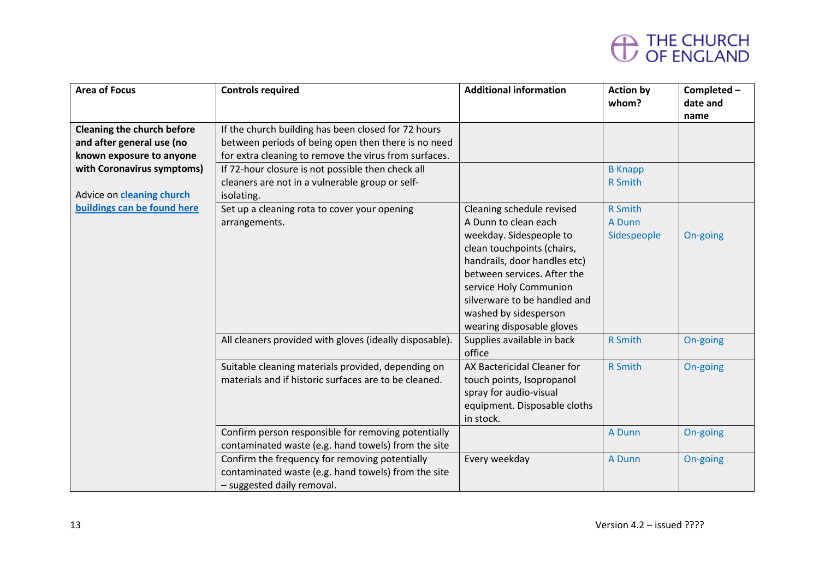| <b>Area of Focus</b>              | <b>Controls required</b>                                | <b>Additional information</b> | <b>Action by</b><br>whom? | Completed-<br>date and |
|-----------------------------------|---------------------------------------------------------|-------------------------------|---------------------------|------------------------|
|                                   |                                                         |                               |                           | name                   |
| <b>Cleaning the church before</b> | If the church building has been closed for 72 hours     |                               |                           |                        |
| and after general use (no         | between periods of being open then there is no need     |                               |                           |                        |
| known exposure to anyone          | for extra cleaning to remove the virus from surfaces.   |                               |                           |                        |
| with Coronavirus symptoms)        | If 72-hour closure is not possible then check all       |                               | <b>B</b> Knapp            |                        |
|                                   | cleaners are not in a vulnerable group or self-         |                               | <b>R</b> Smith            |                        |
| Advice on <b>cleaning church</b>  | isolating.                                              |                               |                           |                        |
| buildings can be found here       | Set up a cleaning rota to cover your opening            | Cleaning schedule revised     | <b>R</b> Smith            |                        |
|                                   | arrangements.                                           | A Dunn to clean each          | A Dunn                    |                        |
|                                   |                                                         | weekday. Sidespeople to       | Sidespeople               | On-going               |
|                                   |                                                         | clean touchpoints (chairs,    |                           |                        |
|                                   |                                                         | handrails, door handles etc)  |                           |                        |
|                                   |                                                         | between services. After the   |                           |                        |
|                                   |                                                         | service Holy Communion        |                           |                        |
|                                   |                                                         | silverware to be handled and  |                           |                        |
|                                   |                                                         | washed by sidesperson         |                           |                        |
|                                   |                                                         | wearing disposable gloves     |                           |                        |
|                                   | All cleaners provided with gloves (ideally disposable). | Supplies available in back    | <b>R</b> Smith            | On-going               |
|                                   |                                                         | office                        |                           |                        |
|                                   | Suitable cleaning materials provided, depending on      | AX Bactericidal Cleaner for   | <b>R</b> Smith            | On-going               |
|                                   | materials and if historic surfaces are to be cleaned.   | touch points, Isopropanol     |                           |                        |
|                                   |                                                         | spray for audio-visual        |                           |                        |
|                                   |                                                         | equipment. Disposable cloths  |                           |                        |
|                                   |                                                         | in stock.                     |                           |                        |
|                                   | Confirm person responsible for removing potentially     |                               | A Dunn                    | On-going               |
|                                   | contaminated waste (e.g. hand towels) from the site     |                               |                           |                        |
|                                   | Confirm the frequency for removing potentially          | Every weekday                 | A Dunn                    | On-going               |
|                                   | contaminated waste (e.g. hand towels) from the site     |                               |                           |                        |
|                                   | - suggested daily removal.                              |                               |                           |                        |